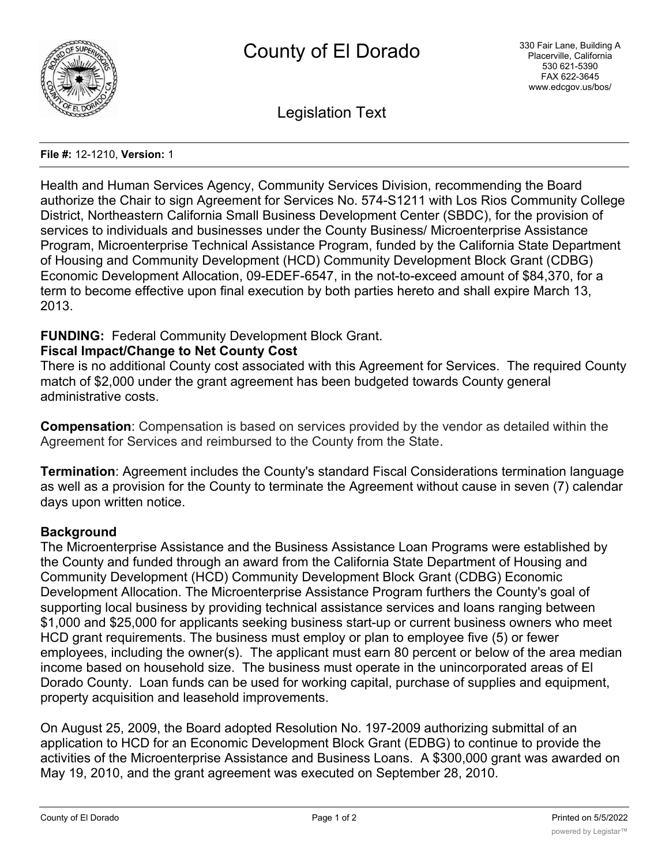

Legislation Text

### **File #:** 12-1210, **Version:** 1

Health and Human Services Agency, Community Services Division, recommending the Board authorize the Chair to sign Agreement for Services No. 574-S1211 with Los Rios Community College District, Northeastern California Small Business Development Center (SBDC), for the provision of services to individuals and businesses under the County Business/ Microenterprise Assistance Program, Microenterprise Technical Assistance Program, funded by the California State Department of Housing and Community Development (HCD) Community Development Block Grant (CDBG) Economic Development Allocation, 09-EDEF-6547, in the not-to-exceed amount of \$84,370, for a term to become effective upon final execution by both parties hereto and shall expire March 13, 2013.

# **FUNDING:** Federal Community Development Block Grant.

## **Fiscal Impact/Change to Net County Cost**

There is no additional County cost associated with this Agreement for Services. The required County match of \$2,000 under the grant agreement has been budgeted towards County general administrative costs.

**Compensation**: Compensation is based on services provided by the vendor as detailed within the Agreement for Services and reimbursed to the County from the State.

**Termination**: Agreement includes the County's standard Fiscal Considerations termination language as well as a provision for the County to terminate the Agreement without cause in seven (7) calendar days upon written notice.

# **Background**

The Microenterprise Assistance and the Business Assistance Loan Programs were established by the County and funded through an award from the California State Department of Housing and Community Development (HCD) Community Development Block Grant (CDBG) Economic Development Allocation. The Microenterprise Assistance Program furthers the County's goal of supporting local business by providing technical assistance services and loans ranging between \$1,000 and \$25,000 for applicants seeking business start-up or current business owners who meet HCD grant requirements. The business must employ or plan to employee five (5) or fewer employees, including the owner(s). The applicant must earn 80 percent or below of the area median income based on household size. The business must operate in the unincorporated areas of El Dorado County. Loan funds can be used for working capital, purchase of supplies and equipment, property acquisition and leasehold improvements.

On August 25, 2009, the Board adopted Resolution No. 197-2009 authorizing submittal of an application to HCD for an Economic Development Block Grant (EDBG) to continue to provide the activities of the Microenterprise Assistance and Business Loans. A \$300,000 grant was awarded on May 19, 2010, and the grant agreement was executed on September 28, 2010.